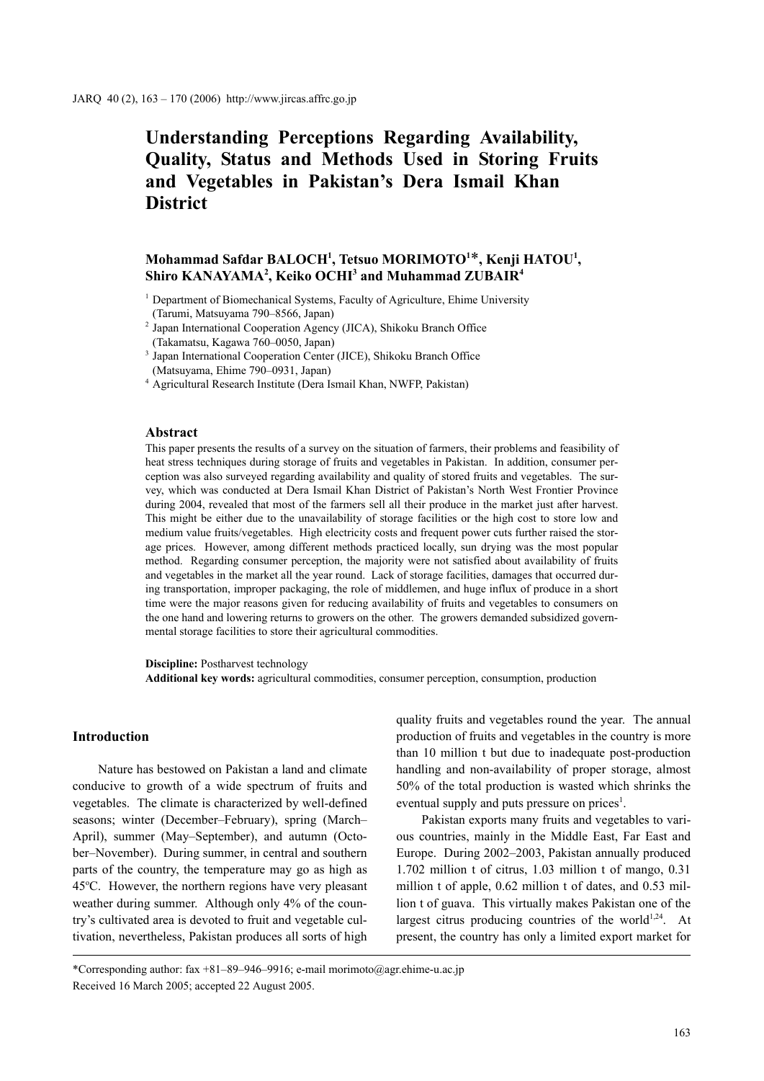# **Understanding Perceptions Regarding Availability, Quality, Status and Methods Used in Storing Fruits and Vegetables in Pakistan's Dera Ismail Khan District**

# **Mohammad Safdar BALOCH1 , Tetsuo MORIMOTO1** \***, Kenji HATOU1 , Shiro KANAYAMA2 , Keiko OCHI3 and Muhammad ZUBAIR4**

#### **Abstract**

This paper presents the results of a survey on the situation of farmers, their problems and feasibility of heat stress techniques during storage of fruits and vegetables in Pakistan. In addition, consumer perception was also surveyed regarding availability and quality of stored fruits and vegetables. The survey, which was conducted at Dera Ismail Khan District of Pakistan's North West Frontier Province during 2004, revealed that most of the farmers sell all their produce in the market just after harvest. This might be either due to the unavailability of storage facilities or the high cost to store low and medium value fruits/vegetables. High electricity costs and frequent power cuts further raised the storage prices. However, among different methods practiced locally, sun drying was the most popular method. Regarding consumer perception, the majority were not satisfied about availability of fruits and vegetables in the market all the year round. Lack of storage facilities, damages that occurred during transportation, improper packaging, the role of middlemen, and huge influx of produce in a short time were the major reasons given for reducing availability of fruits and vegetables to consumers on the one hand and lowering returns to growers on the other. The growers demanded subsidized governmental storage facilities to store their agricultural commodities.

**Discipline:** Postharvest technology

**Additional key words:** agricultural commodities, consumer perception, consumption, production

# **Introduction**

Nature has bestowed on Pakistan a land and climate conducive to growth of a wide spectrum of fruits and vegetables. The climate is characterized by well-defined seasons; winter (December–February), spring (March– April), summer (May–September), and autumn (October–November). During summer, in central and southern parts of the country, the temperature may go as high as 45°C. However, the northern regions have very pleasant weather during summer. Although only 4% of the country's cultivated area is devoted to fruit and vegetable cultivation, nevertheless, Pakistan produces all sorts of high quality fruits and vegetables round the year. The annual production of fruits and vegetables in the country is more than 10 million t but due to inadequate post-production handling and non-availability of proper storage, almost 50% of the total production is wasted which shrinks the eventual supply and puts pressure on prices<sup>1</sup>.

Pakistan exports many fruits and vegetables to various countries, mainly in the Middle East, Far East and Europe. During 2002–2003, Pakistan annually produced 1.702 million t of citrus, 1.03 million t of mango, 0.31 million t of apple, 0.62 million t of dates, and 0.53 million t of guava. This virtually makes Pakistan one of the largest citrus producing countries of the world<sup>1,24</sup>. At present, the country has only a limited export market for

\*Corresponding author: fax +81–89–946–9916; e-mail morimoto@agr.ehime-u.ac.jp Received 16 March 2005; accepted 22 August 2005.

<sup>&</sup>lt;sup>1</sup> Department of Biomechanical Systems, Faculty of Agriculture, Ehime University (Tarumi, Matsuyama 790–8566, Japan)

<sup>2</sup> Japan International Cooperation Agency (JICA), Shikoku Branch Office (Takamatsu, Kagawa 760–0050, Japan)

<sup>3</sup> Japan International Cooperation Center (JICE), Shikoku Branch Office (Matsuyama, Ehime 790–0931, Japan)

<sup>4</sup> Agricultural Research Institute (Dera Ismail Khan, NWFP, Pakistan)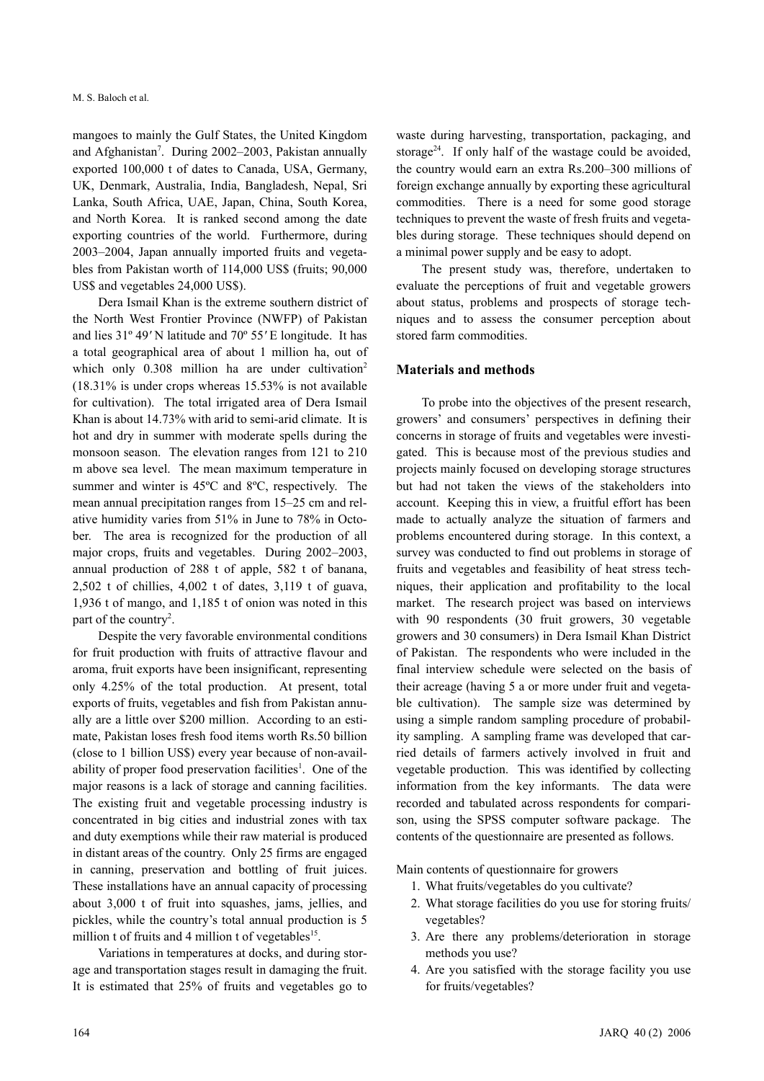mangoes to mainly the Gulf States, the United Kingdom and Afghanistan<sup>7</sup>. During 2002–2003, Pakistan annually exported 100,000 t of dates to Canada, USA, Germany, UK, Denmark, Australia, India, Bangladesh, Nepal, Sri Lanka, South Africa, UAE, Japan, China, South Korea, and North Korea. It is ranked second among the date exporting countries of the world. Furthermore, during 2003–2004, Japan annually imported fruits and vegetables from Pakistan worth of 114,000 US\$ (fruits; 90,000 US\$ and vegetables 24,000 US\$).

Dera Ismail Khan is the extreme southern district of the North West Frontier Province (NWFP) of Pakistan and lies 31º 49*'* N latitude and 70º 55*'* E longitude. It has a total geographical area of about 1 million ha, out of which only  $0.308$  million ha are under cultivation<sup>2</sup> (18.31% is under crops whereas 15.53% is not available for cultivation). The total irrigated area of Dera Ismail Khan is about 14.73% with arid to semi-arid climate. It is hot and dry in summer with moderate spells during the monsoon season. The elevation ranges from 121 to 210 m above sea level. The mean maximum temperature in summer and winter is 45ºC and 8ºC, respectively. The mean annual precipitation ranges from 15–25 cm and relative humidity varies from 51% in June to 78% in October. The area is recognized for the production of all major crops, fruits and vegetables. During 2002–2003, annual production of 288 t of apple, 582 t of banana, 2,502 t of chillies, 4,002 t of dates, 3,119 t of guava, 1,936 t of mango, and 1,185 t of onion was noted in this part of the country<sup>2</sup>.

Despite the very favorable environmental conditions for fruit production with fruits of attractive flavour and aroma, fruit exports have been insignificant, representing only 4.25% of the total production. At present, total exports of fruits, vegetables and fish from Pakistan annually are a little over \$200 million. According to an estimate, Pakistan loses fresh food items worth Rs.50 billion (close to 1 billion US\$) every year because of non-availability of proper food preservation facilities<sup>1</sup>. One of the major reasons is a lack of storage and canning facilities. The existing fruit and vegetable processing industry is concentrated in big cities and industrial zones with tax and duty exemptions while their raw material is produced in distant areas of the country. Only 25 firms are engaged in canning, preservation and bottling of fruit juices. These installations have an annual capacity of processing about 3,000 t of fruit into squashes, jams, jellies, and pickles, while the country's total annual production is 5 million t of fruits and 4 million t of vegetables<sup>15</sup>.

Variations in temperatures at docks, and during storage and transportation stages result in damaging the fruit. It is estimated that 25% of fruits and vegetables go to waste during harvesting, transportation, packaging, and storage<sup>24</sup>. If only half of the wastage could be avoided, the country would earn an extra Rs.200–300 millions of foreign exchange annually by exporting these agricultural commodities. There is a need for some good storage techniques to prevent the waste of fresh fruits and vegetables during storage. These techniques should depend on a minimal power supply and be easy to adopt.

The present study was, therefore, undertaken to evaluate the perceptions of fruit and vegetable growers about status, problems and prospects of storage techniques and to assess the consumer perception about stored farm commodities.

# **Materials and methods**

To probe into the objectives of the present research, growers' and consumers' perspectives in defining their concerns in storage of fruits and vegetables were investigated. This is because most of the previous studies and projects mainly focused on developing storage structures but had not taken the views of the stakeholders into account. Keeping this in view, a fruitful effort has been made to actually analyze the situation of farmers and problems encountered during storage. In this context, a survey was conducted to find out problems in storage of fruits and vegetables and feasibility of heat stress techniques, their application and profitability to the local market. The research project was based on interviews with 90 respondents (30 fruit growers, 30 vegetable growers and 30 consumers) in Dera Ismail Khan District of Pakistan. The respondents who were included in the final interview schedule were selected on the basis of their acreage (having 5 a or more under fruit and vegetable cultivation). The sample size was determined by using a simple random sampling procedure of probability sampling. A sampling frame was developed that carried details of farmers actively involved in fruit and vegetable production. This was identified by collecting information from the key informants. The data were recorded and tabulated across respondents for comparison, using the SPSS computer software package. The contents of the questionnaire are presented as follows.

Main contents of questionnaire for growers

- 1. What fruits/vegetables do you cultivate?
- 2. What storage facilities do you use for storing fruits/ vegetables?
- 3. Are there any problems/deterioration in storage methods you use?
- 4. Are you satisfied with the storage facility you use for fruits/vegetables?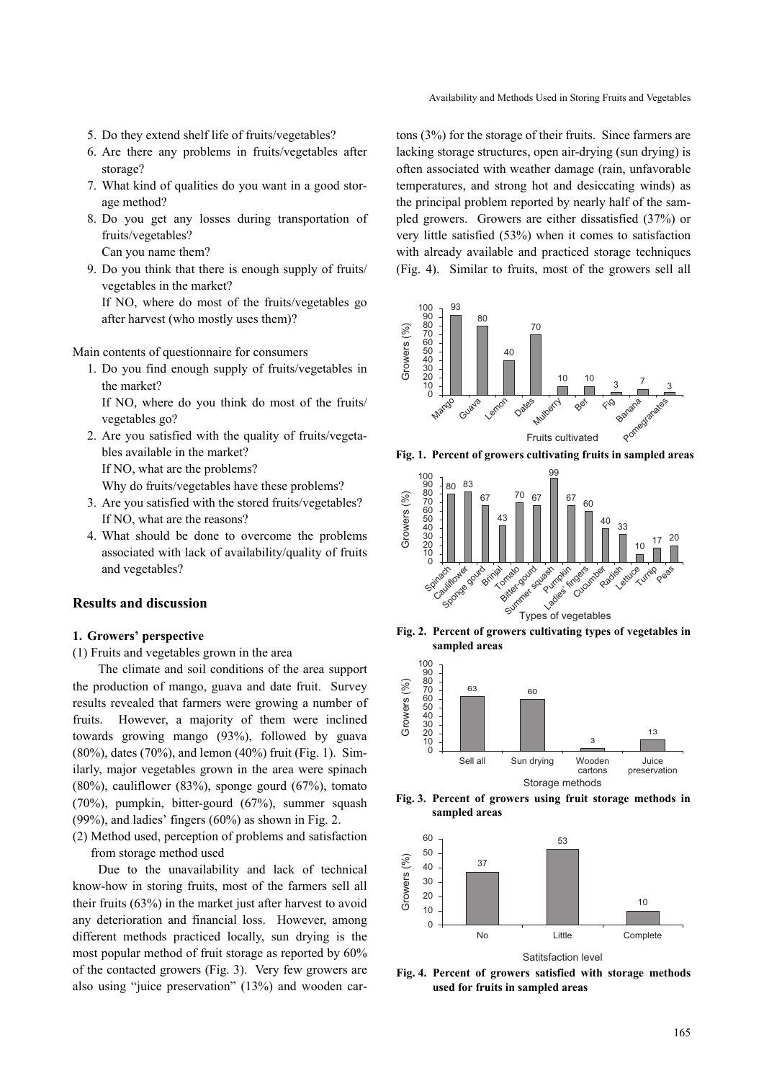- 5. Do they extend shelf life of fruits/vegetables?
- 6. Are there any problems in fruits/vegetables after storage?
- 7. What kind of qualities do you want in a good storage method?
- 8. Do you get any losses during transportation of fruits/vegetables? Can you name them?
- 9. Do you think that there is enough supply of fruits/ vegetables in the market?

If NO, where do most of the fruits/vegetables go after harvest (who mostly uses them)?

Main contents of questionnaire for consumers

- 1. Do you find enough supply of fruits/vegetables in the market?
	- If NO, where do you think do most of the fruits/ vegetables go?
- 2. Are you satisfied with the quality of fruits/vegetables available in the market? If NO, what are the problems?

Why do fruits/vegetables have these problems?

- 3. Are you satisfied with the stored fruits/vegetables? If NO, what are the reasons?
- 4. What should be done to overcome the problems associated with lack of availability/quality of fruits and vegetables?

## **Results and discussion**

### **1. Growers' perspective**

(1) Fruits and vegetables grown in the area

The climate and soil conditions of the area support the production of mango, guava and date fruit. Survey results revealed that farmers were growing a number of fruits. However, a majority of them were inclined towards growing mango (93%), followed by guava (80%), dates (70%), and lemon (40%) fruit (Fig. 1). Similarly, major vegetables grown in the area were spinach  $(80\%)$ , cauliflower  $(83\%)$ , sponge gourd  $(67\%)$ , tomato (70%), pumpkin, bitter-gourd (67%), summer squash (99%), and ladies' fingers (60%) as shown in Fig. 2.

(2) Method used, perception of problems and satisfaction from storage method used

Due to the unavailability and lack of technical know-how in storing fruits, most of the farmers sell all their fruits (63%) in the market just after harvest to avoid any deterioration and financial loss. However, among different methods practiced locally, sun drying is the most popular method of fruit storage as reported by 60% of the contacted growers (Fig. 3). Very few growers are also using "juice preservation" (13%) and wooden cartons (3%) for the storage of their fruits. Since farmers are lacking storage structures, open air-drying (sun drying) is often associated with weather damage (rain, unfavorable temperatures, and strong hot and desiccating winds) as the principal problem reported by nearly half of the sampled growers. Growers are either dissatisfied (37%) or very little satisfied (53%) when it comes to satisfaction with already available and practiced storage techniques (Fig. 4). Similar to fruits, most of the growers sell all



**Fig. 1. Percent of growers cultivating fruits in sampled areas**



**Fig. 2. Percent of growers cultivating types of vegetables in sampled areas**



**Fig. 3. Percent of growers using fruit storage methods in sampled areas**



**Fig. 4. Percent of growers satisfied with storage methods used for fruits in sampled areas**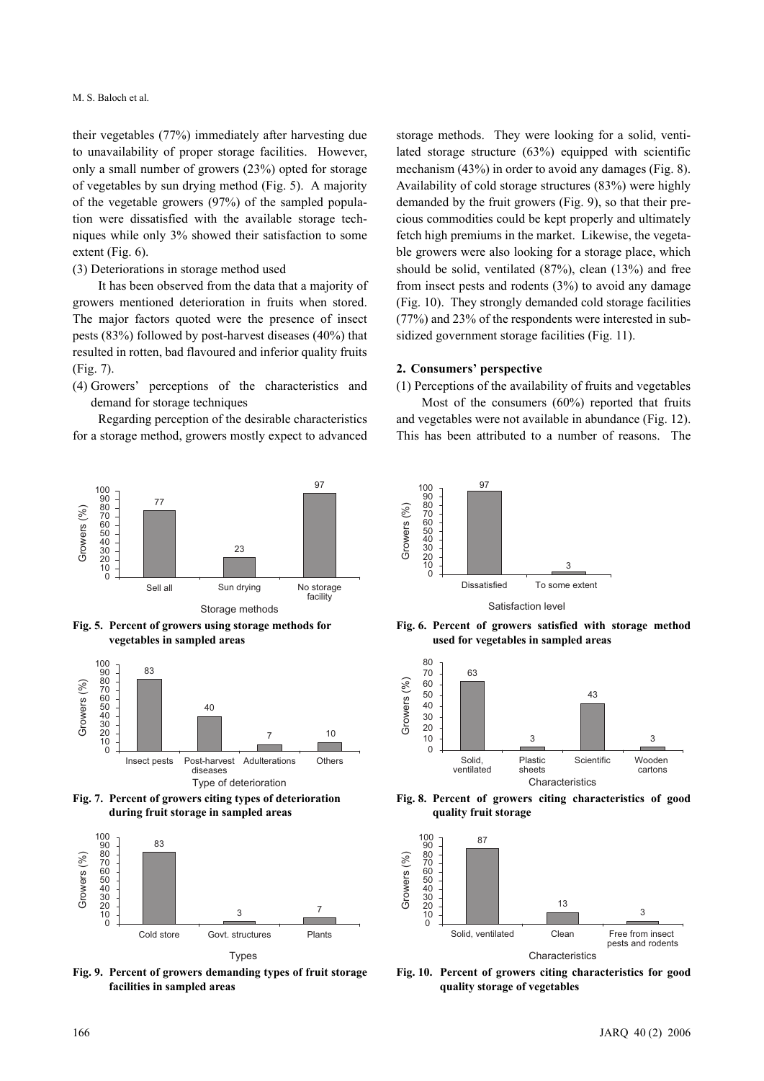their vegetables (77%) immediately after harvesting due to unavailability of proper storage facilities. However, only a small number of growers (23%) opted for storage of vegetables by sun drying method (Fig. 5). A majority of the vegetable growers (97%) of the sampled population were dissatisfied with the available storage techniques while only 3% showed their satisfaction to some extent (Fig. 6).

#### (3) Deteriorations in storage method used

It has been observed from the data that a majority of growers mentioned deterioration in fruits when stored. The major factors quoted were the presence of insect pests (83%) followed by post-harvest diseases (40%) that resulted in rotten, bad flavoured and inferior quality fruits (Fig. 7).

(4) Growers' perceptions of the characteristics and demand for storage techniques

Regarding perception of the desirable characteristics for a storage method, growers mostly expect to advanced



**Fig. 5. Percent of growers using storage methods for vegetables in sampled areas**







**Fig. 9. Percent of growers demanding types of fruit storage facilities in sampled areas**

storage methods. They were looking for a solid, ventilated storage structure (63%) equipped with scientific mechanism (43%) in order to avoid any damages (Fig. 8). Availability of cold storage structures (83%) were highly demanded by the fruit growers (Fig. 9), so that their precious commodities could be kept properly and ultimately fetch high premiums in the market. Likewise, the vegetable growers were also looking for a storage place, which should be solid, ventilated (87%), clean (13%) and free from insect pests and rodents (3%) to avoid any damage (Fig. 10). They strongly demanded cold storage facilities (77%) and 23% of the respondents were interested in subsidized government storage facilities (Fig. 11).

#### **2. Consumers' perspective**

(1) Perceptions of the availability of fruits and vegetables

Most of the consumers (60%) reported that fruits and vegetables were not available in abundance (Fig. 12). This has been attributed to a number of reasons. The



Satisfaction level

**Fig. 6. Percent of growers satisfied with storage method used for vegetables in sampled areas**



**Fig. 8. Percent of growers citing characteristics of good quality fruit storage**



**Fig. 10. Percent of growers citing characteristics for good quality storage of vegetables**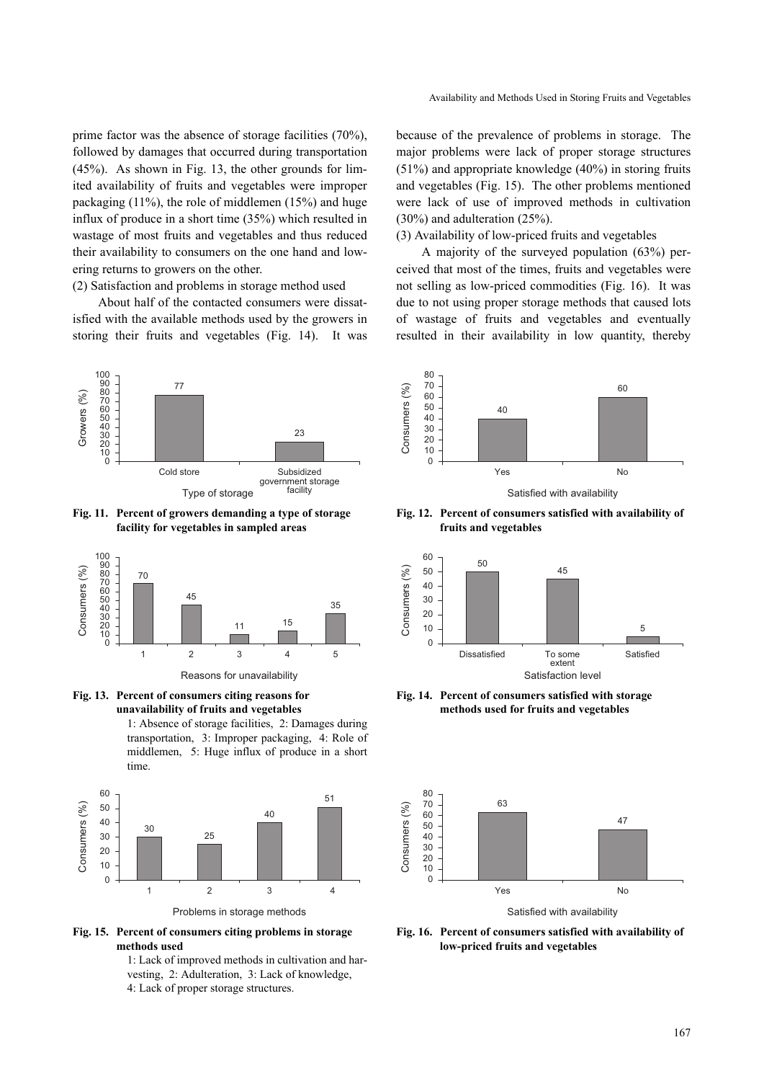prime factor was the absence of storage facilities (70%), followed by damages that occurred during transportation (45%). As shown in Fig. 13, the other grounds for limited availability of fruits and vegetables were improper packaging (11%), the role of middlemen (15%) and huge influx of produce in a short time (35%) which resulted in wastage of most fruits and vegetables and thus reduced their availability to consumers on the one hand and lowering returns to growers on the other.

(2) Satisfaction and problems in storage method used

About half of the contacted consumers were dissatisfied with the available methods used by the growers in storing their fruits and vegetables (Fig. 14). It was



**Fig. 11. Percent of growers demanding a type of storage facility for vegetables in sampled areas**



Reasons for unavailability



1: Absence of storage facilities, 2: Damages during transportation, 3: Improper packaging, 4: Role of middlemen, 5: Huge influx of produce in a short time.



**Fig. 15. Percent of consumers citing problems in storage methods used**

1: Lack of improved methods in cultivation and harvesting, 2: Adulteration, 3: Lack of knowledge, 4: Lack of proper storage structures.

because of the prevalence of problems in storage. The major problems were lack of proper storage structures (51%) and appropriate knowledge (40%) in storing fruits and vegetables (Fig. 15). The other problems mentioned were lack of use of improved methods in cultivation (30%) and adulteration (25%).

(3) Availability of low-priced fruits and vegetables

A majority of the surveyed population (63%) perceived that most of the times, fruits and vegetables were not selling as low-priced commodities (Fig. 16). It was due to not using proper storage methods that caused lots of wastage of fruits and vegetables and eventually resulted in their availability in low quantity, thereby



Satisfied with availability

**Fig. 12. Percent of consumers satisfied with availability of fruits and vegetables**



**Fig. 14. Percent of consumers satisfied with storage methods used for fruits and vegetables**



**Fig. 16. Percent of consumers satisfied with availability of low-priced fruits and vegetables**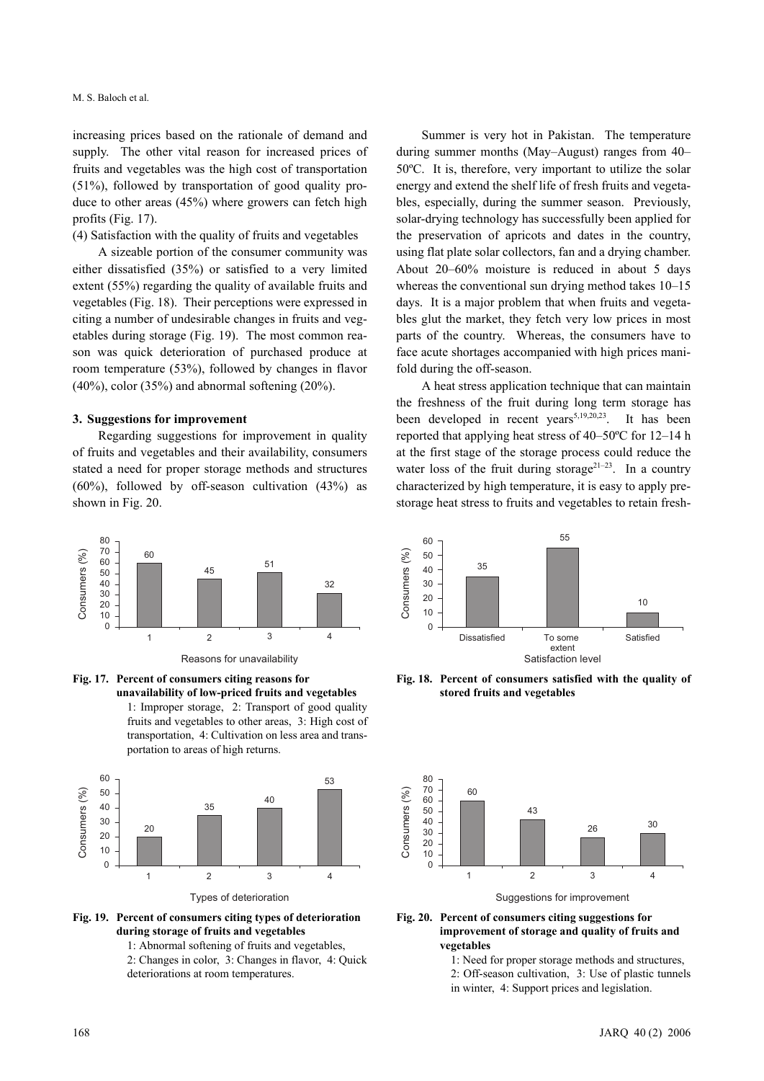increasing prices based on the rationale of demand and supply. The other vital reason for increased prices of fruits and vegetables was the high cost of transportation (51%), followed by transportation of good quality produce to other areas (45%) where growers can fetch high profits (Fig. 17).

(4) Satisfaction with the quality of fruits and vegetables

A sizeable portion of the consumer community was either dissatisfied (35%) or satisfied to a very limited extent (55%) regarding the quality of available fruits and vegetables (Fig. 18). Their perceptions were expressed in citing a number of undesirable changes in fruits and vegetables during storage (Fig. 19). The most common reason was quick deterioration of purchased produce at room temperature (53%), followed by changes in flavor  $(40\%)$ , color  $(35\%)$  and abnormal softening  $(20\%)$ .

## **3. Suggestions for improvement**

Regarding suggestions for improvement in quality of fruits and vegetables and their availability, consumers stated a need for proper storage methods and structures  $(60\%)$ , followed by off-season cultivation  $(43\%)$  as shown in Fig. 20.



Reasons for unavailability

**Fig. 17. Percent of consumers citing reasons for unavailability of low-priced fruits and vegetables** 1: Improper storage, 2: Transport of good quality

fruits and vegetables to other areas, 3: High cost of transportation, 4: Cultivation on less area and transportation to areas of high returns.



**Fig. 19. Percent of consumers citing types of deterioration during storage of fruits and vegetables**

1: Abnormal softening of fruits and vegetables,

2: Changes in color, 3: Changes in flavor, 4: Quick deteriorations at room temperatures.

Summer is very hot in Pakistan. The temperature during summer months (May–August) ranges from 40– 50ºC. It is, therefore, very important to utilize the solar energy and extend the shelf life of fresh fruits and vegetables, especially, during the summer season. Previously, solar-drying technology has successfully been applied for the preservation of apricots and dates in the country, using flat plate solar collectors, fan and a drying chamber. About 20–60% moisture is reduced in about 5 days whereas the conventional sun drying method takes 10–15 days. It is a major problem that when fruits and vegetables glut the market, they fetch very low prices in most parts of the country. Whereas, the consumers have to face acute shortages accompanied with high prices manifold during the off-season.

A heat stress application technique that can maintain the freshness of the fruit during long term storage has been developed in recent years<sup>5,19,20,23</sup>. It has been reported that applying heat stress of 40–50ºC for 12–14 h at the first stage of the storage process could reduce the water loss of the fruit during storage<sup>21–23</sup>. In a country characterized by high temperature, it is easy to apply prestorage heat stress to fruits and vegetables to retain fresh-



**Fig. 18. Percent of consumers satisfied with the quality of stored fruits and vegetables**



**Fig. 20. Percent of consumers citing suggestions for improvement of storage and quality of fruits and vegetables**

1: Need for proper storage methods and structures, 2: Off-season cultivation, 3: Use of plastic tunnels in winter, 4: Support prices and legislation.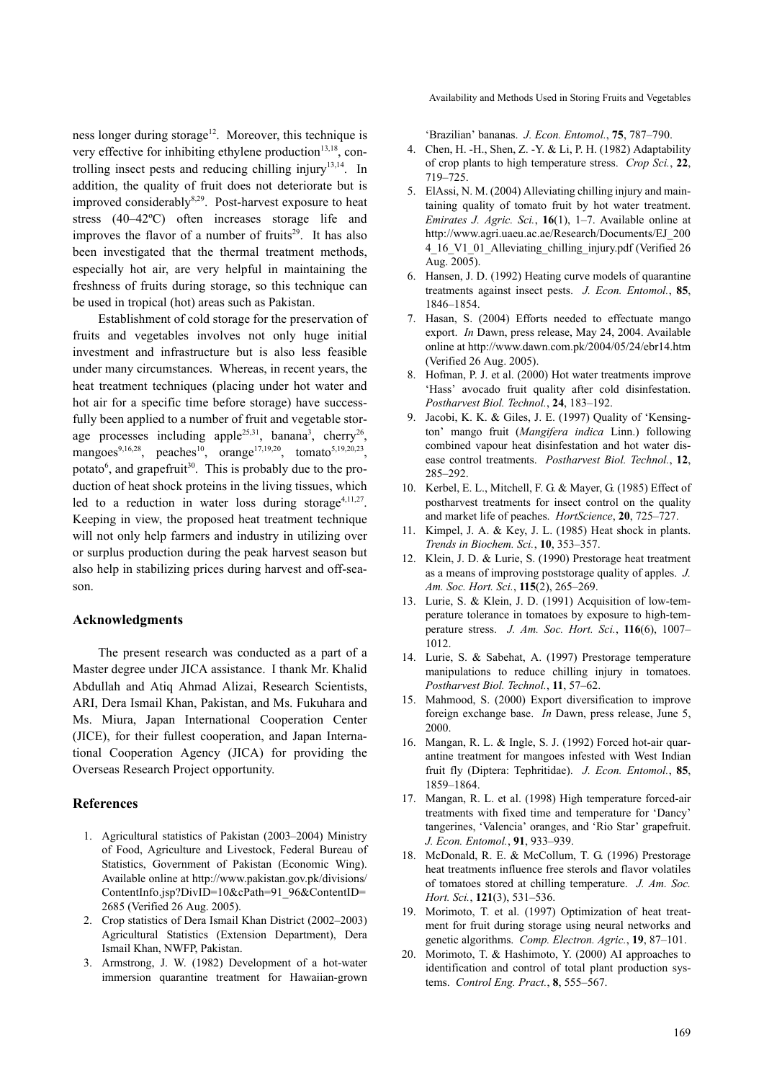ness longer during storage<sup>12</sup>. Moreover, this technique is very effective for inhibiting ethylene production $13,18$ , controlling insect pests and reducing chilling injury<sup>13,14</sup>. In addition, the quality of fruit does not deteriorate but is improved considerably<sup>8,29</sup>. Post-harvest exposure to heat stress (40–42ºC) often increases storage life and improves the flavor of a number of fruits<sup>29</sup>. It has also been investigated that the thermal treatment methods, especially hot air, are very helpful in maintaining the freshness of fruits during storage, so this technique can be used in tropical (hot) areas such as Pakistan.

Establishment of cold storage for the preservation of fruits and vegetables involves not only huge initial investment and infrastructure but is also less feasible under many circumstances. Whereas, in recent years, the heat treatment techniques (placing under hot water and hot air for a specific time before storage) have successfully been applied to a number of fruit and vegetable storage processes including apple<sup>25,31</sup>, banana<sup>3</sup>, cherry<sup>26</sup>, mangoes<sup>9,16,28</sup>, peaches<sup>10</sup>, orange<sup>17,19,20</sup>, tomato<sup>5,19,20,23</sup>, potato<sup>6</sup>, and grapefruit<sup>30</sup>. This is probably due to the production of heat shock proteins in the living tissues, which led to a reduction in water loss during storage<sup>4,11,27</sup>. Keeping in view, the proposed heat treatment technique will not only help farmers and industry in utilizing over or surplus production during the peak harvest season but also help in stabilizing prices during harvest and off-season.

#### **Acknowledgments**

The present research was conducted as a part of a Master degree under JICA assistance. I thank Mr. Khalid Abdullah and Atiq Ahmad Alizai, Research Scientists, ARI, Dera Ismail Khan, Pakistan, and Ms. Fukuhara and Ms. Miura, Japan International Cooperation Center (JICE), for their fullest cooperation, and Japan International Cooperation Agency (JICA) for providing the Overseas Research Project opportunity.

#### **References**

- 1. Agricultural statistics of Pakistan (2003–2004) Ministry of Food, Agriculture and Livestock, Federal Bureau of Statistics, Government of Pakistan (Economic Wing). Available online at http://www.pakistan.gov.pk/divisions/ ContentInfo.jsp?DivID=10&cPath=91\_96&ContentID= 2685 (Verified 26 Aug. 2005).
- 2. Crop statistics of Dera Ismail Khan District (2002–2003) Agricultural Statistics (Extension Department), Dera Ismail Khan, NWFP, Pakistan.
- 3. Armstrong, J. W. (1982) Development of a hot-water immersion quarantine treatment for Hawaiian-grown

'Brazilian' bananas. *J. Econ. Entomol.*, **75**, 787–790.

- 4. Chen, H. -H., Shen, Z. -Y. & Li, P. H. (1982) Adaptability of crop plants to high temperature stress. *Crop Sci.*, **22**, 719–725.
- 5. ElAssi, N. M. (2004) Alleviating chilling injury and maintaining quality of tomato fruit by hot water treatment. *Emirates J. Agric. Sci.*, **16**(1), 1–7. Available online at http://www.agri.uaeu.ac.ae/Research/Documents/EJ\_200 4\_16\_V1\_01\_Alleviating\_chilling\_injury.pdf (Verified 26 Aug. 2005).
- 6. Hansen, J. D. (1992) Heating curve models of quarantine treatments against insect pests. *J. Econ. Entomol.*, **85**, 1846–1854.
- 7. Hasan, S. (2004) Efforts needed to effectuate mango export. *In* Dawn, press release, May 24, 2004. Available online at http://www.dawn.com.pk/2004/05/24/ebr14.htm (Verified 26 Aug. 2005).
- 8. Hofman, P. J. et al. (2000) Hot water treatments improve 'Hass' avocado fruit quality after cold disinfestation. *Postharvest Biol. Technol.*, **24**, 183–192.
- 9. Jacobi, K. K. & Giles, J. E. (1997) Quality of 'Kensington' mango fruit (*Mangifera indica* Linn.) following combined vapour heat disinfestation and hot water disease control treatments. *Postharvest Biol. Technol.*, **12**, 285–292.
- 10. Kerbel, E. L., Mitchell, F. G. & Mayer, G. (1985) Effect of postharvest treatments for insect control on the quality and market life of peaches. *HortScience*, **20**, 725–727.
- 11. Kimpel, J. A. & Key, J. L. (1985) Heat shock in plants. *Trends in Biochem. Sci.*, **10**, 353–357.
- 12. Klein, J. D. & Lurie, S. (1990) Prestorage heat treatment as a means of improving poststorage quality of apples. *J. Am. Soc. Hort. Sci.*, **115**(2), 265–269.
- 13. Lurie, S. & Klein, J. D. (1991) Acquisition of low-temperature tolerance in tomatoes by exposure to high-temperature stress. *J. Am. Soc. Hort. Sci.*, **116**(6), 1007– 1012.
- 14. Lurie, S. & Sabehat, A. (1997) Prestorage temperature manipulations to reduce chilling injury in tomatoes. *Postharvest Biol. Technol.*, **11**, 57–62.
- 15. Mahmood, S. (2000) Export diversification to improve foreign exchange base. *In* Dawn, press release, June 5, 2000.
- 16. Mangan, R. L. & Ingle, S. J. (1992) Forced hot-air quarantine treatment for mangoes infested with West Indian fruit fly (Diptera: Tephritidae). *J. Econ. Entomol.*, **85**, 1859–1864.
- 17. Mangan, R. L. et al. (1998) High temperature forced-air treatments with fixed time and temperature for 'Dancy' tangerines, 'Valencia' oranges, and 'Rio Star' grapefruit. *J. Econ. Entomol.*, **91**, 933–939.
- 18. McDonald, R. E. & McCollum, T. G. (1996) Prestorage heat treatments influence free sterols and flavor volatiles of tomatoes stored at chilling temperature. *J. Am. Soc. Hort. Sci.*, **121**(3), 531–536.
- 19. Morimoto, T. et al. (1997) Optimization of heat treatment for fruit during storage using neural networks and genetic algorithms. *Comp. Electron. Agric.*, **19**, 87–101.
- 20. Morimoto, T. & Hashimoto, Y. (2000) AI approaches to identification and control of total plant production systems. *Control Eng. Pract.*, **8**, 555–567.